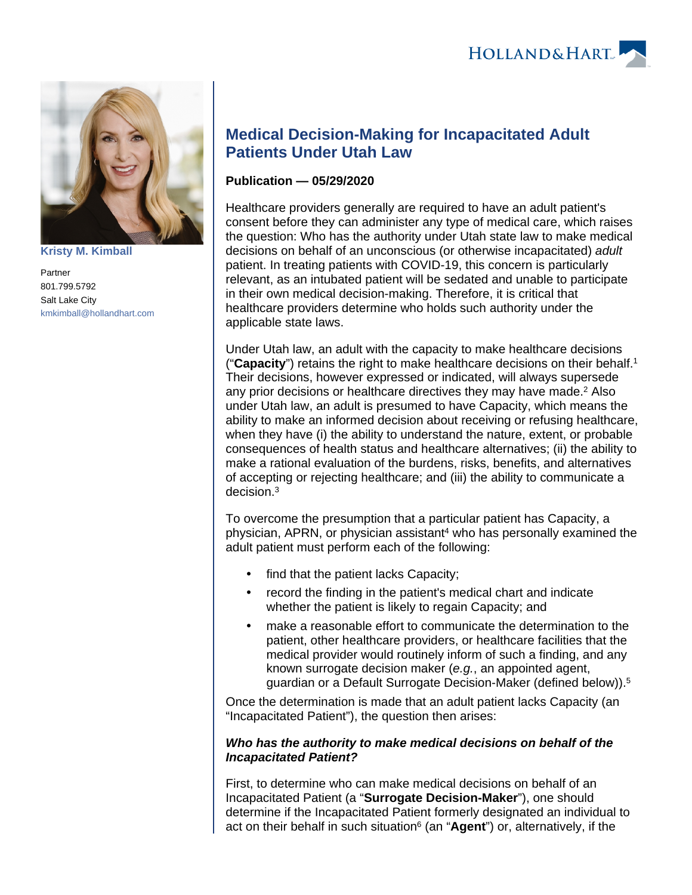

**[Kristy M. Kimball](https://www.hollandhart.com/35820)**

Partner 801.799.5792 Salt Lake City [kmkimball@hollandhart.com](mailto:kmkimball@hollandhart.com)

## **Medical Decision-Making for Incapacitated Adult Patients Under Utah Law**

## **Publication — 05/29/2020**

Healthcare providers generally are required to have an adult patient's consent before they can administer any type of medical care, which raises the question: Who has the authority under Utah state law to make medical decisions on behalf of an unconscious (or otherwise incapacitated) adult patient. In treating patients with COVID-19, this concern is particularly relevant, as an intubated patient will be sedated and unable to participate in their own medical decision-making. Therefore, it is critical that healthcare providers determine who holds such authority under the applicable state laws.

Under Utah law, an adult with the capacity to make healthcare decisions ("**Capacity**") retains the right to make healthcare decisions on their behalf.<sup>1</sup> Their decisions, however expressed or indicated, will always supersede any prior decisions or healthcare directives they may have made.<sup>2</sup> Also under Utah law, an adult is presumed to have Capacity, which means the ability to make an informed decision about receiving or refusing healthcare, when they have (i) the ability to understand the nature, extent, or probable consequences of health status and healthcare alternatives; (ii) the ability to make a rational evaluation of the burdens, risks, benefits, and alternatives of accepting or rejecting healthcare; and (iii) the ability to communicate a decision.<sup>3</sup>

To overcome the presumption that a particular patient has Capacity, a physician, APRN, or physician assistant<sup>4</sup> who has personally examined the adult patient must perform each of the following:

- find that the patient lacks Capacity;
- record the finding in the patient's medical chart and indicate whether the patient is likely to regain Capacity; and
- make a reasonable effort to communicate the determination to the patient, other healthcare providers, or healthcare facilities that the medical provider would routinely inform of such a finding, and any known surrogate decision maker (e.g., an appointed agent, guardian or a Default Surrogate Decision-Maker (defined below)).<sup>5</sup>

Once the determination is made that an adult patient lacks Capacity (an "Incapacitated Patient"), the question then arises:

## **Who has the authority to make medical decisions on behalf of the Incapacitated Patient?**

First, to determine who can make medical decisions on behalf of an Incapacitated Patient (a "**Surrogate Decision-Maker**"), one should determine if the Incapacitated Patient formerly designated an individual to act on their behalf in such situation<sup>6</sup> (an "**Agent**") or, alternatively, if the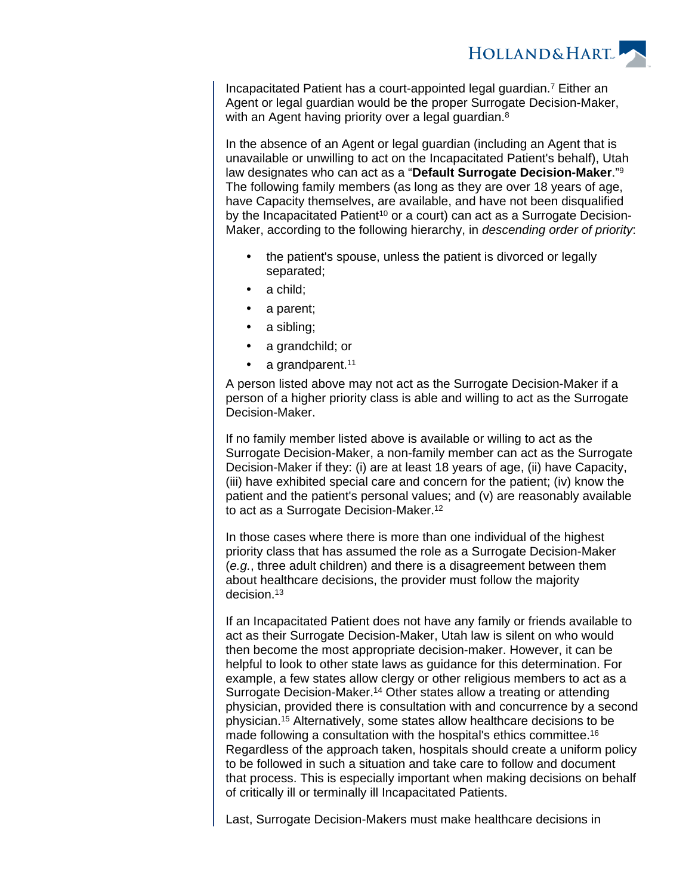

Incapacitated Patient has a court-appointed legal guardian.<sup>7</sup> Either an Agent or legal guardian would be the proper Surrogate Decision-Maker, with an Agent having priority over a legal guardian.<sup>8</sup>

In the absence of an Agent or legal guardian (including an Agent that is unavailable or unwilling to act on the Incapacitated Patient's behalf), Utah law designates who can act as a "**Default Surrogate Decision-Maker**."<sup>9</sup> The following family members (as long as they are over 18 years of age, have Capacity themselves, are available, and have not been disqualified by the Incapacitated Patient<sup>10</sup> or a court) can act as a Surrogate Decision-Maker, according to the following hierarchy, in descending order of priority:

- the patient's spouse, unless the patient is divorced or legally separated;
- a child;
- a parent;
- a sibling;
- a grandchild; or
- a grandparent.<sup>11</sup>

A person listed above may not act as the Surrogate Decision-Maker if a person of a higher priority class is able and willing to act as the Surrogate Decision-Maker.

If no family member listed above is available or willing to act as the Surrogate Decision-Maker, a non-family member can act as the Surrogate Decision-Maker if they: (i) are at least 18 years of age, (ii) have Capacity, (iii) have exhibited special care and concern for the patient; (iv) know the patient and the patient's personal values; and (v) are reasonably available to act as a Surrogate Decision-Maker.<sup>12</sup>

In those cases where there is more than one individual of the highest priority class that has assumed the role as a Surrogate Decision-Maker (e.g., three adult children) and there is a disagreement between them about healthcare decisions, the provider must follow the majority decision.<sup>13</sup>

If an Incapacitated Patient does not have any family or friends available to act as their Surrogate Decision-Maker, Utah law is silent on who would then become the most appropriate decision-maker. However, it can be helpful to look to other state laws as guidance for this determination. For example, a few states allow clergy or other religious members to act as a Surrogate Decision-Maker.<sup>14</sup> Other states allow a treating or attending physician, provided there is consultation with and concurrence by a second physician.<sup>15</sup> Alternatively, some states allow healthcare decisions to be made following a consultation with the hospital's ethics committee.<sup>16</sup> Regardless of the approach taken, hospitals should create a uniform policy to be followed in such a situation and take care to follow and document that process. This is especially important when making decisions on behalf of critically ill or terminally ill Incapacitated Patients.

Last, Surrogate Decision-Makers must make healthcare decisions in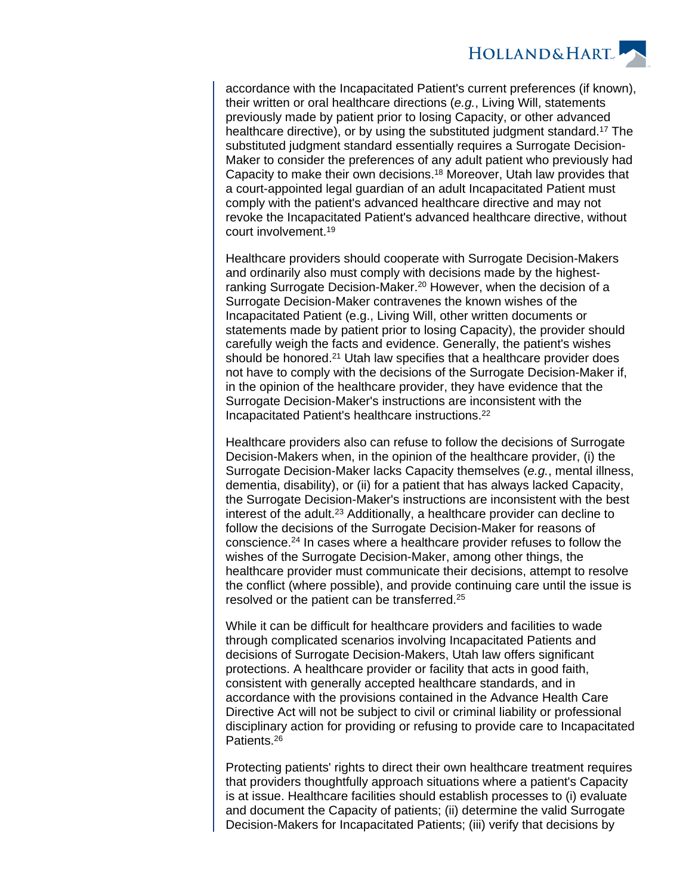

accordance with the Incapacitated Patient's current preferences (if known), their written or oral healthcare directions (e.g., Living Will, statements previously made by patient prior to losing Capacity, or other advanced healthcare directive), or by using the substituted judgment standard.<sup>17</sup> The substituted judgment standard essentially requires a Surrogate Decision-Maker to consider the preferences of any adult patient who previously had Capacity to make their own decisions.<sup>18</sup> Moreover, Utah law provides that a court-appointed legal guardian of an adult Incapacitated Patient must comply with the patient's advanced healthcare directive and may not revoke the Incapacitated Patient's advanced healthcare directive, without court involvement.<sup>19</sup>

Healthcare providers should cooperate with Surrogate Decision-Makers and ordinarily also must comply with decisions made by the highestranking Surrogate Decision-Maker.<sup>20</sup> However, when the decision of a Surrogate Decision-Maker contravenes the known wishes of the Incapacitated Patient (e.g., Living Will, other written documents or statements made by patient prior to losing Capacity), the provider should carefully weigh the facts and evidence. Generally, the patient's wishes should be honored.<sup>21</sup> Utah law specifies that a healthcare provider does not have to comply with the decisions of the Surrogate Decision-Maker if, in the opinion of the healthcare provider, they have evidence that the Surrogate Decision-Maker's instructions are inconsistent with the Incapacitated Patient's healthcare instructions.<sup>22</sup>

Healthcare providers also can refuse to follow the decisions of Surrogate Decision-Makers when, in the opinion of the healthcare provider, (i) the Surrogate Decision-Maker lacks Capacity themselves (e.g., mental illness, dementia, disability), or (ii) for a patient that has always lacked Capacity, the Surrogate Decision-Maker's instructions are inconsistent with the best interest of the adult.<sup>23</sup> Additionally, a healthcare provider can decline to follow the decisions of the Surrogate Decision-Maker for reasons of conscience.<sup>24</sup> In cases where a healthcare provider refuses to follow the wishes of the Surrogate Decision-Maker, among other things, the healthcare provider must communicate their decisions, attempt to resolve the conflict (where possible), and provide continuing care until the issue is resolved or the patient can be transferred.<sup>25</sup>

While it can be difficult for healthcare providers and facilities to wade through complicated scenarios involving Incapacitated Patients and decisions of Surrogate Decision-Makers, Utah law offers significant protections. A healthcare provider or facility that acts in good faith, consistent with generally accepted healthcare standards, and in accordance with the provisions contained in the Advance Health Care Directive Act will not be subject to civil or criminal liability or professional disciplinary action for providing or refusing to provide care to Incapacitated Patients.<sup>26</sup>

Protecting patients' rights to direct their own healthcare treatment requires that providers thoughtfully approach situations where a patient's Capacity is at issue. Healthcare facilities should establish processes to (i) evaluate and document the Capacity of patients; (ii) determine the valid Surrogate Decision-Makers for Incapacitated Patients; (iii) verify that decisions by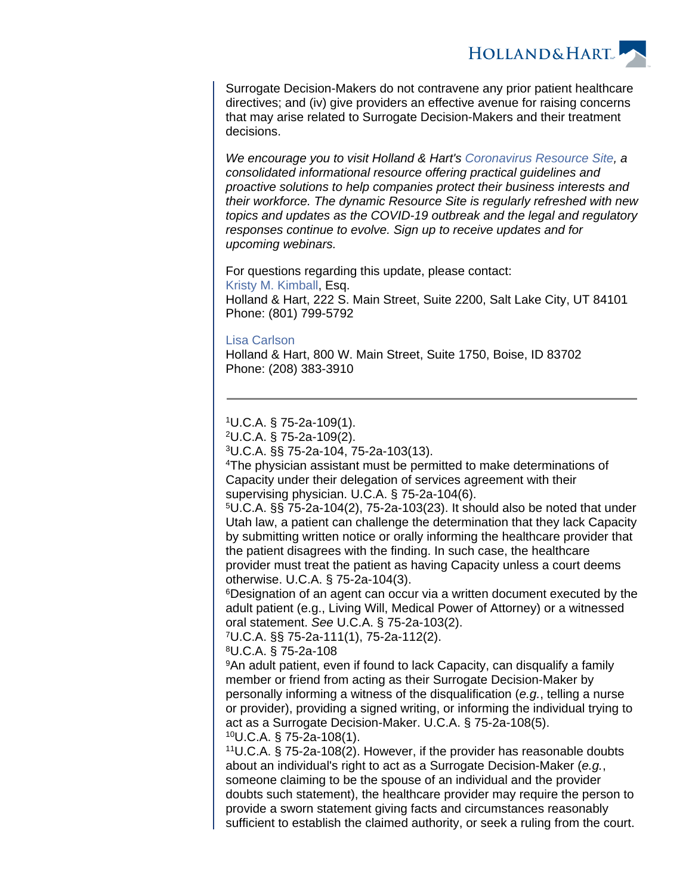HOLLAND& HART

Surrogate Decision-Makers do not contravene any prior patient healthcare directives; and (iv) give providers an effective avenue for raising concerns that may arise related to Surrogate Decision-Makers and their treatment decisions.

We encourage you to visit Holland & Hart's [Coronavirus Resource Site](https://experience.hollandhart.com/coronavirus-resource-site), a consolidated informational resource offering practical guidelines and proactive solutions to help companies protect their business interests and their workforce. The dynamic Resource Site is regularly refreshed with new topics and updates as the COVID-19 outbreak and the legal and regulatory responses continue to evolve. Sign up to receive updates and for upcoming webinars.

For questions regarding this update, please contact: [Kristy M. Kimball,](https://www.hollandhart.com/kmkimball) Esq. Holland & Hart, 222 S. Main Street, Suite 2200, Salt Lake City, UT 84101 Phone: (801) 799-5792

## [Lisa Carlson](https://www.hollandhart.com/lcarlson)

Holland & Hart, 800 W. Main Street, Suite 1750, Boise, ID 83702 Phone: (208) 383-3910

<sup>1</sup>U.C.A. § 75-2a-109(1).

<sup>2</sup>U.C.A. § 75-2a-109(2).

<sup>3</sup>U.C.A. §§ 75-2a-104, 75-2a-103(13).

<sup>4</sup>The physician assistant must be permitted to make determinations of Capacity under their delegation of services agreement with their supervising physician. U.C.A. § 75-2a-104(6).

<sup>5</sup>U.C.A. §§ 75-2a-104(2), 75-2a-103(23). It should also be noted that under Utah law, a patient can challenge the determination that they lack Capacity by submitting written notice or orally informing the healthcare provider that the patient disagrees with the finding. In such case, the healthcare provider must treat the patient as having Capacity unless a court deems otherwise. U.C.A. § 75-2a-104(3).

<sup>6</sup>Designation of an agent can occur via a written document executed by the adult patient (e.g., Living Will, Medical Power of Attorney) or a witnessed oral statement. See U.C.A. § 75-2a-103(2).

<sup>7</sup>U.C.A. §§ 75-2a-111(1), 75-2a-112(2).

<sup>8</sup>U.C.A. § 75-2a-108

<sup>9</sup>An adult patient, even if found to lack Capacity, can disqualify a family member or friend from acting as their Surrogate Decision-Maker by personally informing a witness of the disqualification (e.g., telling a nurse or provider), providing a signed writing, or informing the individual trying to act as a Surrogate Decision-Maker. U.C.A. § 75-2a-108(5). <sup>10</sup>U.C.A. § 75-2a-108(1).

<sup>11</sup>U.C.A. § 75-2a-108(2). However, if the provider has reasonable doubts about an individual's right to act as a Surrogate Decision-Maker (e.g., someone claiming to be the spouse of an individual and the provider doubts such statement), the healthcare provider may require the person to provide a sworn statement giving facts and circumstances reasonably sufficient to establish the claimed authority, or seek a ruling from the court.